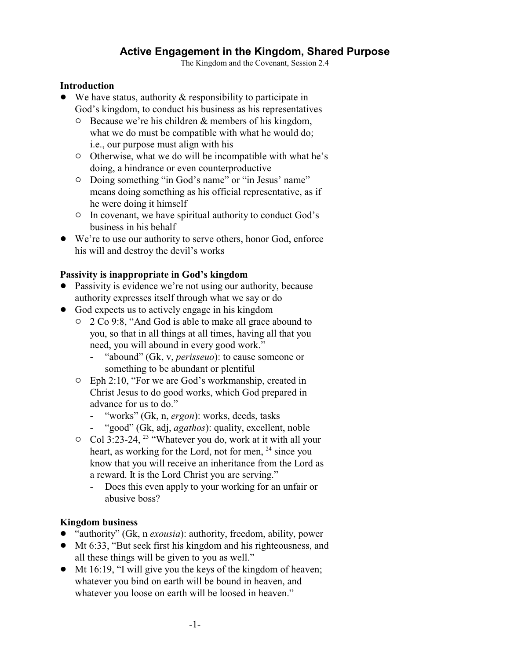# **Active Engagement in the Kingdom, Shared Purpose**

The Kingdom and the Covenant, Session 2.4

#### **Introduction**

- $\bullet$  We have status, authority & responsibility to participate in God's kingdom, to conduct his business as his representatives
	- $\circ$  Because we're his children & members of his kingdom, what we do must be compatible with what he would do; i.e., our purpose must align with his
	- $\circ$  Otherwise, what we do will be incompatible with what he's doing, a hindrance or even counterproductive
	- $\circ$  Doing something "in God's name" or "in Jesus' name" means doing something as his official representative, as if he were doing it himself
	- <sup>o</sup> In covenant, we have spiritual authority to conduct God's business in his behalf
- ! We're to use our authority to serve others, honor God, enforce his will and destroy the devil's works

## **Passivity is inappropriate in God's kingdom**

- Passivity is evidence we're not using our authority, because authority expresses itself through what we say or do
- God expects us to actively engage in his kingdom
	- " 2 Co 9:8, "And God is able to make all grace abound to you, so that in all things at all times, having all that you need, you will abound in every good work."
		- "abound" (Gk, v, *perisseuo*): to cause someone or something to be abundant or plentiful
	- $\circ$  Eph 2:10, "For we are God's workmanship, created in Christ Jesus to do good works, which God prepared in advance for us to do."
		- "works" (Gk, n, *ergon*): works, deeds, tasks
		- "good" (Gk, adj, *agathos*): quality, excellent, noble
	- $\circ$  Col 3:23-24, <sup>23</sup> "Whatever you do, work at it with all your heart, as working for the Lord, not for men, <sup>24</sup> since you know that you will receive an inheritance from the Lord as a reward. It is the Lord Christ you are serving."
		- Does this even apply to your working for an unfair or abusive boss?

#### **Kingdom business**

- ! "authority" (Gk, n *exousia*): authority, freedom, ability, power
- ! Mt 6:33, "But seek first his kingdom and his righteousness, and all these things will be given to you as well."
- ! Mt 16:19, "I will give you the keys of the kingdom of heaven; whatever you bind on earth will be bound in heaven, and whatever you loose on earth will be loosed in heaven."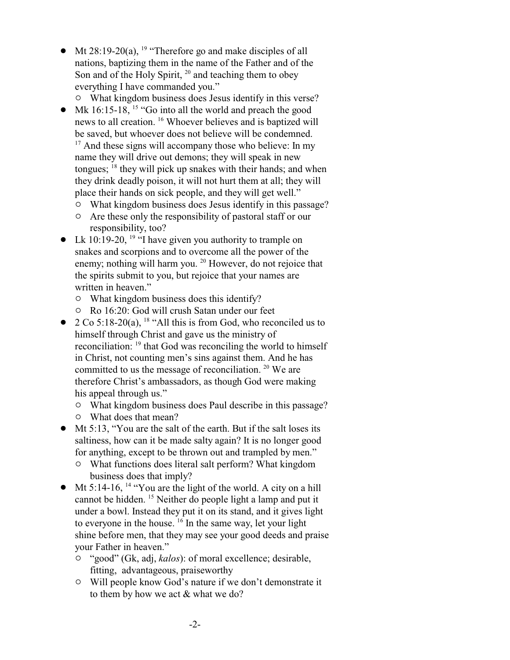- Mt 28:19-20(a), <sup>19</sup> "Therefore go and make disciples of all nations, baptizing them in the name of the Father and of the Son and of the Holy Spirit,  $20$  and teaching them to obey everything I have commanded you."
- $\circ$  What kingdom business does Jesus identify in this verse?  $\bullet$  Mk 16:15-18, <sup>15</sup> "Go into all the world and preach the good news to all creation. <sup>16</sup> Whoever believes and is baptized will be saved, but whoever does not believe will be condemned. <sup>17</sup> And these signs will accompany those who believe: In my name they will drive out demons; they will speak in new tongues; <sup>18</sup> they will pick up snakes with their hands; and when they drink deadly poison, it will not hurt them at all; they will place their hands on sick people, and they will get well."
	- $\circ$  What kingdom business does Jesus identify in this passage?
	- <sup> $\circ$ </sup> Are these only the responsibility of pastoral staff or our responsibility, too?
- Lk 10:19-20, <sup>19</sup> "I have given you authority to trample on snakes and scorpions and to overcome all the power of the enemy; nothing will harm you. <sup>20</sup> However, do not rejoice that the spirits submit to you, but rejoice that your names are written in heaven."
	- $\circ$  What kingdom business does this identify?
	- " Ro 16:20: God will crush Satan under our feet
- $2 \text{Co } 5:18-20(a)$ , <sup>18</sup> "All this is from God, who reconciled us to himself through Christ and gave us the ministry of reconciliation: <sup>19</sup> that God was reconciling the world to himself in Christ, not counting men's sins against them. And he has committed to us the message of reconciliation.  $20$  We are therefore Christ's ambassadors, as though God were making his appeal through us."
	- $\circ$  What kingdom business does Paul describe in this passage?
	- $\circ$  What does that mean?
- Mt 5:13, "You are the salt of the earth. But if the salt loses its saltiness, how can it be made salty again? It is no longer good for anything, except to be thrown out and trampled by men."
	- $\circ$  What functions does literal salt perform? What kingdom business does that imply?
- $\bullet$  Mt 5:14-16, <sup>14</sup> "You are the light of the world. A city on a hill cannot be hidden. <sup>15</sup> Neither do people light a lamp and put it under a bowl. Instead they put it on its stand, and it gives light to everyone in the house. <sup>16</sup> In the same way, let your light shine before men, that they may see your good deeds and praise your Father in heaven."
	- <sup>o</sup> "good" (Gk, adj, *kalos*): of moral excellence; desirable, fitting, advantageous, praiseworthy
	- $\circ$  Will people know God's nature if we don't demonstrate it to them by how we act & what we do?